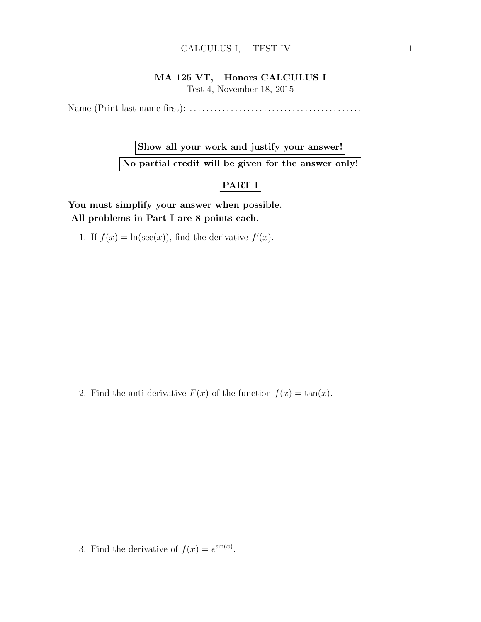## MA 125 VT, Honors CALCULUS I

Test 4, November 18, 2015

Name (Print last name first): . . . . . . . . . . . . . . . . . . . . . . . . . . . . . . . . . . . . . . . . . .

## Show all your work and justify your answer!

No partial credit will be given for the answer only!

## PART I

You must simplify your answer when possible. All problems in Part I are 8 points each.

1. If  $f(x) = \ln(\sec(x))$ , find the derivative  $f'(x)$ .

2. Find the anti-derivative  $F(x)$  of the function  $f(x) = \tan(x)$ .

3. Find the derivative of  $f(x) = e^{\sin(x)}$ .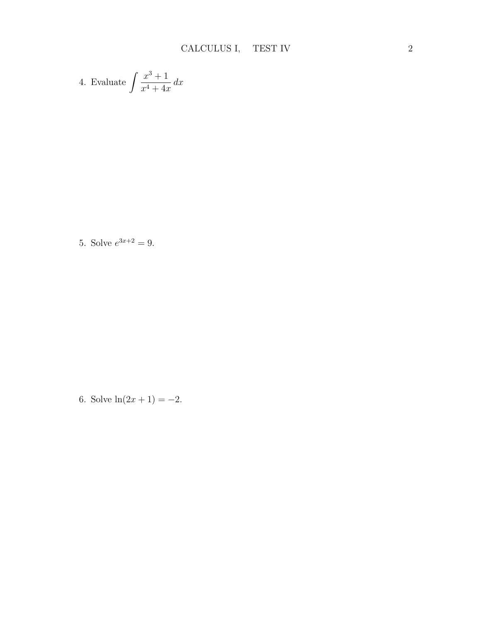4. Evaluate 
$$
\int \frac{x^3 + 1}{x^4 + 4x} dx
$$

5. Solve  $e^{3x+2} = 9$ .

6. Solve  $\ln(2x+1) = -2$ .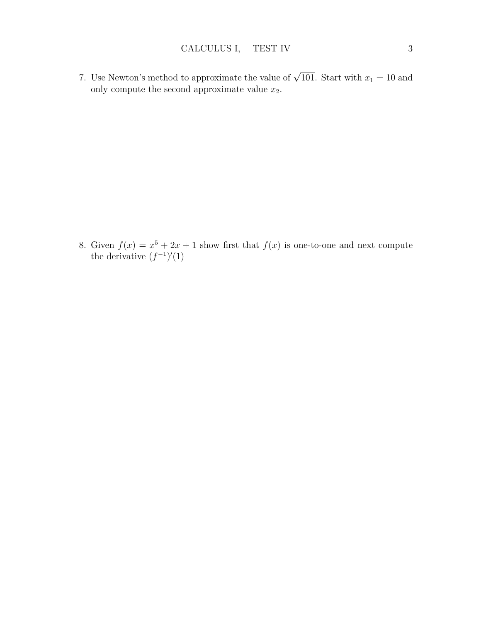7. Use Newton's method to approximate the value of  $\sqrt{101}$ . Start with  $x_1 = 10$  and only compute the second approximate value  $x_2$ .

8. Given  $f(x) = x^5 + 2x + 1$  show first that  $f(x)$  is one-to-one and next compute the derivative  $(f^{-1})'(1)$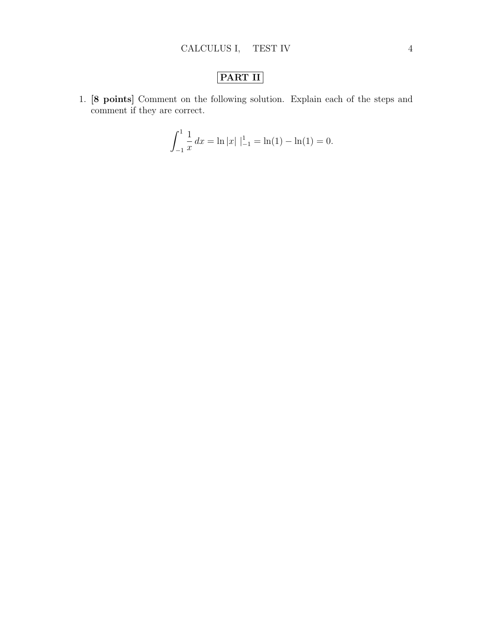## PART II

1. [8 points] Comment on the following solution. Explain each of the steps and comment if they are correct.

$$
\int_{-1}^{1} \frac{1}{x} dx = \ln|x| |_{-1}^{1} = \ln(1) - \ln(1) = 0.
$$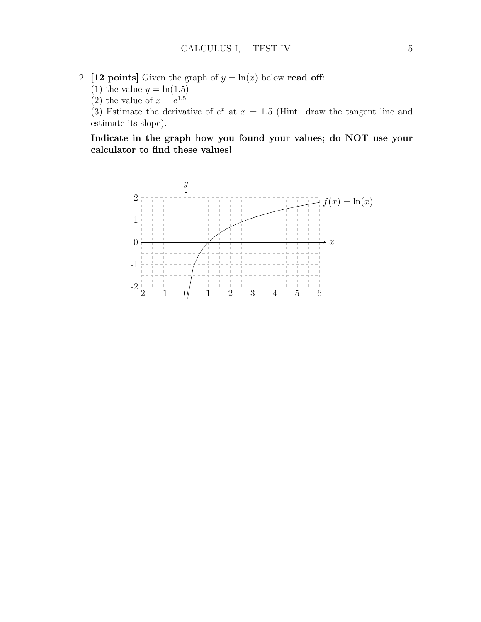- 2. [12 points] Given the graph of  $y = \ln(x)$  below read off:
	- (1) the value  $y = \ln(1.5)$
	- (2) the value of  $x = e^{1.5}$

(3) Estimate the derivative of  $e^x$  at  $x = 1.5$  (Hint: draw the tangent line and estimate its slope).

Indicate in the graph how you found your values; do NOT use your calculator to find these values!